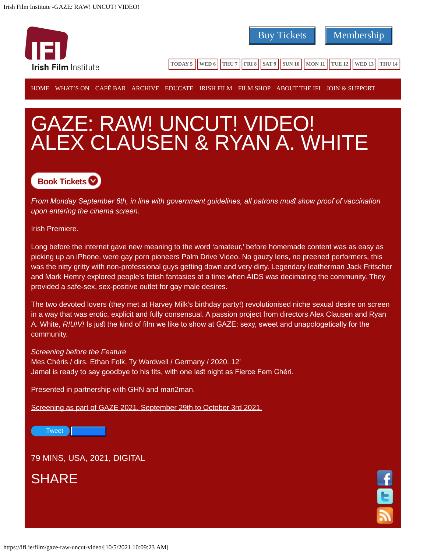

## GAZE: RAW! UNCUT! VIDEO! ALEX CLAUSEN & RYAN A. WHITE

## **[Book Tickets](https://shop.ifi.ie/event/111517/)**

*From Monday September 6th, in line with government guidelines, all patrons must show proof of vaccination upon entering the cinema screen.*

Irish Premiere.

Long before the internet gave new meaning to the word 'amateur,' before homemade content was as easy as picking up an iPhone, were gay porn pioneers Palm Drive Video. No gauzy lens, no preened performers, this was the nitty gritty with non-professional guys getting down and very dirty. Legendary leatherman Jack Fritscher and Mark Hemry explored people's fetish fantasies at a time when AIDS was decimating the community. They provided a safe-sex, sex-positive outlet for gay male desires.

The two devoted lovers (they met at Harvey Milk's birthday party!) revolutionised niche sexual desire on screen in a way that was erotic, explicit and fully consensual. A passion project from directors Alex Clausen and Ryan A. White, *R!U!V!* Is just the kind of film we like to show at GAZE: sexy, sweet and unapologetically for the community.

## *Screening before the Feature*

Mes Chéris / dirs. Ethan Folk, Ty Wardwell / Germany / 2020. 12' Jamal is ready to say goodbye to his tits, with one last night as Fierce Fem Chéri.

Presented in partnership with GHN and man2man.

[Screening as part of GAZE 2021, September 29th to October 3rd 2021.](https://ifi.ie/gaze/)

[Tweet](https://twitter.com/share) *Like 0*

79 MINS, USA, 2021, DIGITAL

**SHARE**